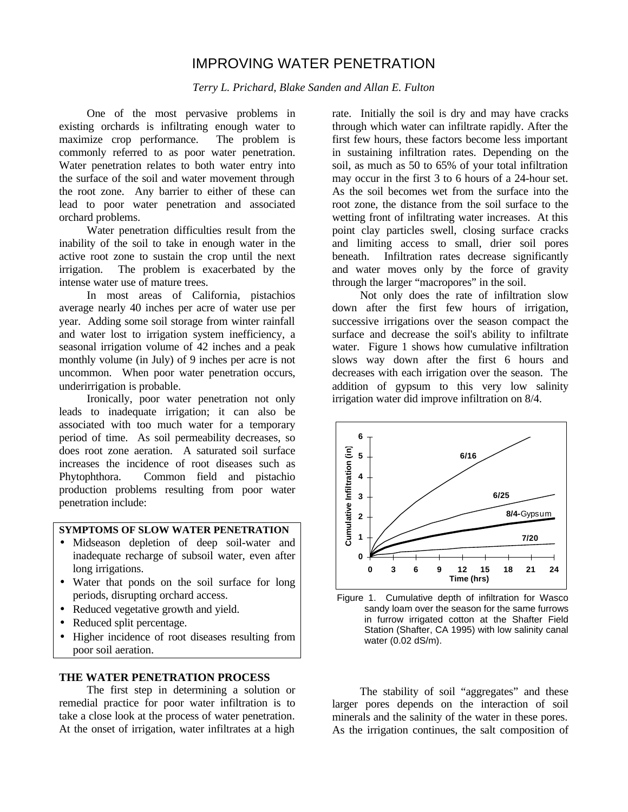# IMPROVING WATER PENETRATION

### *Terry L. Prichard, Blake Sanden and Allan E. Fulton*

One of the most pervasive problems in existing orchards is infiltrating enough water to maximize crop performance. The problem is commonly referred to as poor water penetration. Water penetration relates to both water entry into the surface of the soil and water movement through the root zone. Any barrier to either of these can lead to poor water penetration and associated orchard problems.

Water penetration difficulties result from the inability of the soil to take in enough water in the active root zone to sustain the crop until the next irrigation. The problem is exacerbated by the intense water use of mature trees.

In most areas of California, pistachios average nearly 40 inches per acre of water use per year. Adding some soil storage from winter rainfall and water lost to irrigation system inefficiency, a seasonal irrigation volume of 42 inches and a peak monthly volume (in July) of 9 inches per acre is not uncommon. When poor water penetration occurs, underirrigation is probable.

Ironically, poor water penetration not only leads to inadequate irrigation; it can also be associated with too much water for a temporary period of time. As soil permeability decreases, so does root zone aeration. A saturated soil surface increases the incidence of root diseases such as Phytophthora. Common field and pistachio production problems resulting from poor water penetration include:

### **SYMPTOMS OF SLOW WATER PENETRATION**

- Midseason depletion of deep soil-water and inadequate recharge of subsoil water, even after long irrigations.
- Water that ponds on the soil surface for long periods, disrupting orchard access.
- Reduced vegetative growth and yield.
- Reduced split percentage.
- Higher incidence of root diseases resulting from poor soil aeration.

### **THE WATER PENETRATION PROCESS**

The first step in determining a solution or remedial practice for poor water infiltration is to take a close look at the process of water penetration. At the onset of irrigation, water infiltrates at a high

rate. Initially the soil is dry and may have cracks through which water can infiltrate rapidly. After the first few hours, these factors become less important in sustaining infiltration rates. Depending on the soil, as much as 50 to 65% of your total infiltration may occur in the first 3 to 6 hours of a 24-hour set. As the soil becomes wet from the surface into the root zone, the distance from the soil surface to the wetting front of infiltrating water increases. At this point clay particles swell, closing surface cracks and limiting access to small, drier soil pores beneath. Infiltration rates decrease significantly and water moves only by the force of gravity through the larger "macropores" in the soil.

Not only does the rate of infiltration slow down after the first few hours of irrigation, successive irrigations over the season compact the surface and decrease the soil's ability to infiltrate water. Figure 1 shows how cumulative infiltration slows way down after the first 6 hours and decreases with each irrigation over the season. The addition of gypsum to this very low salinity irrigation water did improve infiltration on 8/4.



Figure 1. Cumulative depth of infiltration for Wasco sandy loam over the season for the same furrows in furrow irrigated cotton at the Shafter Field Station (Shafter, CA 1995) with low salinity canal water (0.02 dS/m).

The stability of soil "aggregates" and these larger pores depends on the interaction of soil minerals and the salinity of the water in these pores. As the irrigation continues, the salt composition of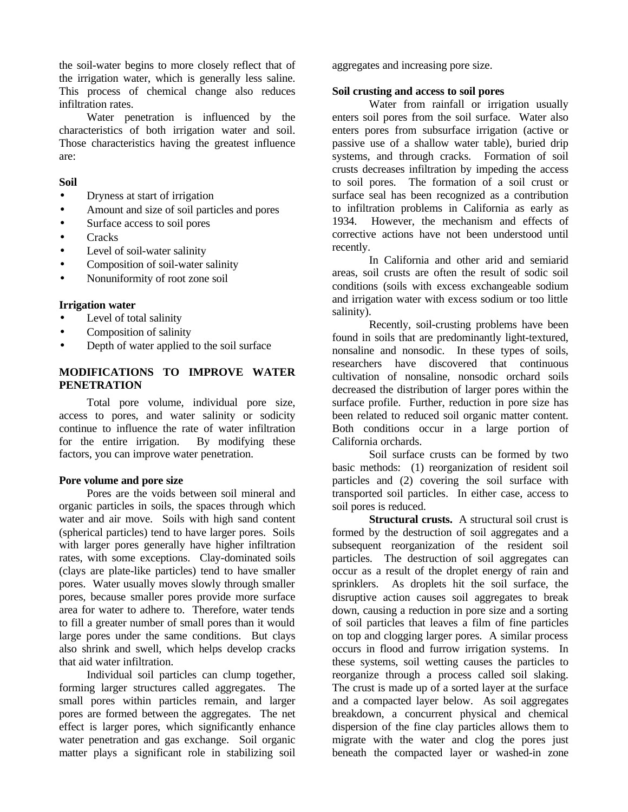the soil-water begins to more closely reflect that of the irrigation water, which is generally less saline. This process of chemical change also reduces infiltration rates.

Water penetration is influenced by the characteristics of both irrigation water and soil. Those characteristics having the greatest influence are:

### **Soil**

- Dryness at start of irrigation
- Amount and size of soil particles and pores
- Surface access to soil pores
- Cracks
- Level of soil-water salinity
- Composition of soil-water salinity
- Nonuniformity of root zone soil

# **Irrigation water**

- Level of total salinity
- Composition of salinity
- Depth of water applied to the soil surface

# **MODIFICATIONS TO IMPROVE WATER PENETRATION**

Total pore volume, individual pore size, access to pores, and water salinity or sodicity continue to influence the rate of water infiltration for the entire irrigation. By modifying these factors, you can improve water penetration.

# **Pore volume and pore size**

Pores are the voids between soil mineral and organic particles in soils, the spaces through which water and air move. Soils with high sand content (spherical particles) tend to have larger pores. Soils with larger pores generally have higher infiltration rates, with some exceptions. Clay-dominated soils (clays are plate-like particles) tend to have smaller pores. Water usually moves slowly through smaller pores, because smaller pores provide more surface area for water to adhere to. Therefore, water tends to fill a greater number of small pores than it would large pores under the same conditions. But clays also shrink and swell, which helps develop cracks that aid water infiltration.

Individual soil particles can clump together, forming larger structures called aggregates. The small pores within particles remain, and larger pores are formed between the aggregates. The net effect is larger pores, which significantly enhance water penetration and gas exchange. Soil organic matter plays a significant role in stabilizing soil aggregates and increasing pore size.

### **Soil crusting and access to soil pores**

Water from rainfall or irrigation usually enters soil pores from the soil surface. Water also enters pores from subsurface irrigation (active or passive use of a shallow water table), buried drip systems, and through cracks. Formation of soil crusts decreases infiltration by impeding the access to soil pores. The formation of a soil crust or surface seal has been recognized as a contribution to infiltration problems in California as early as 1934. However, the mechanism and effects of corrective actions have not been understood until recently.

In California and other arid and semiarid areas, soil crusts are often the result of sodic soil conditions (soils with excess exchangeable sodium and irrigation water with excess sodium or too little salinity).

Recently, soil-crusting problems have been found in soils that are predominantly light-textured, nonsaline and nonsodic. In these types of soils, researchers have discovered that continuous cultivation of nonsaline, nonsodic orchard soils decreased the distribution of larger pores within the surface profile. Further, reduction in pore size has been related to reduced soil organic matter content. Both conditions occur in a large portion of California orchards.

Soil surface crusts can be formed by two basic methods: (1) reorganization of resident soil particles and (2) covering the soil surface with transported soil particles. In either case, access to soil pores is reduced.

**Structural crusts.** A structural soil crust is formed by the destruction of soil aggregates and a subsequent reorganization of the resident soil particles. The destruction of soil aggregates can occur as a result of the droplet energy of rain and sprinklers. As droplets hit the soil surface, the disruptive action causes soil aggregates to break down, causing a reduction in pore size and a sorting of soil particles that leaves a film of fine particles on top and clogging larger pores. A similar process occurs in flood and furrow irrigation systems. In these systems, soil wetting causes the particles to reorganize through a process called soil slaking. The crust is made up of a sorted layer at the surface and a compacted layer below. As soil aggregates breakdown, a concurrent physical and chemical dispersion of the fine clay particles allows them to migrate with the water and clog the pores just beneath the compacted layer or washed-in zone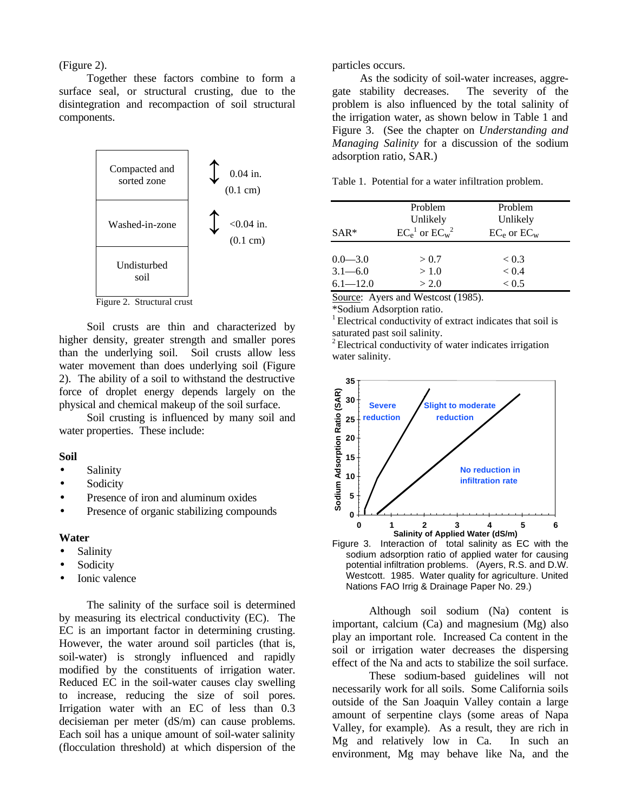(Figure 2).

Together these factors combine to form a surface seal, or structural crusting, due to the disintegration and recompaction of soil structural components.



Soil crusts are thin and characterized by higher density, greater strength and smaller pores than the underlying soil. Soil crusts allow less water movement than does underlying soil (Figure 2). The ability of a soil to withstand the destructive force of droplet energy depends largely on the physical and chemical makeup of the soil surface.

Soil crusting is influenced by many soil and water properties. These include:

#### **Soil**

- **Salinity**
- **Sodicity**
- Presence of iron and aluminum oxides
- Presence of organic stabilizing compounds

#### **Water**

- **Salinity**
- **Sodicity**
- Ionic valence

The salinity of the surface soil is determined by measuring its electrical conductivity (EC). The EC is an important factor in determining crusting. However, the water around soil particles (that is, soil-water) is strongly influenced and rapidly modified by the constituents of irrigation water. Reduced EC in the soil-water causes clay swelling to increase, reducing the size of soil pores. Irrigation water with an EC of less than 0.3 decisieman per meter (dS/m) can cause problems. Each soil has a unique amount of soil-water salinity (flocculation threshold) at which dispersion of the particles occurs.

As the sodicity of soil-water increases, aggregate stability decreases. The severity of the problem is also influenced by the total salinity of the irrigation water, as shown below in Table 1 and Figure 3. (See the chapter on *Understanding and Managing Salinity* for a discussion of the sodium adsorption ratio, SAR.)

Table 1. Potential for a water infiltration problem.

| $SAR*$       | Problem<br>Unlikely<br>$EC_e^1$ or $EC_w^2$ | Problem<br>Unlikely<br>$EC_e$ or $EC_w$ |
|--------------|---------------------------------------------|-----------------------------------------|
| $0.0 - 3.0$  | > 0.7                                       | < 0.3                                   |
| $3.1 - 6.0$  | > 1.0                                       | < 0.4                                   |
| $6.1 - 12.0$ | > 2.0                                       | < 0.5                                   |

Source: Ayers and Westcost (1985).

\*Sodium Adsorption ratio.

 $1$  Electrical conductivity of extract indicates that soil is saturated past soil salinity.

 $2$  Electrical conductivity of water indicates irrigation water salinity.



Figure 3. Interaction of total salinity as EC with the sodium adsorption ratio of applied water for causing potential infiltration problems. (Ayers, R.S. and D.W. Westcott. 1985. Water quality for agriculture. United Nations FAO Irrig & Drainage Paper No. 29.)

Although soil sodium (Na) content is important, calcium (Ca) and magnesium (Mg) also play an important role. Increased Ca content in the soil or irrigation water decreases the dispersing effect of the Na and acts to stabilize the soil surface.

These sodium-based guidelines will not necessarily work for all soils. Some California soils outside of the San Joaquin Valley contain a large amount of serpentine clays (some areas of Napa Valley, for example). As a result, they are rich in Mg and relatively low in Ca. In such an environment, Mg may behave like Na, and the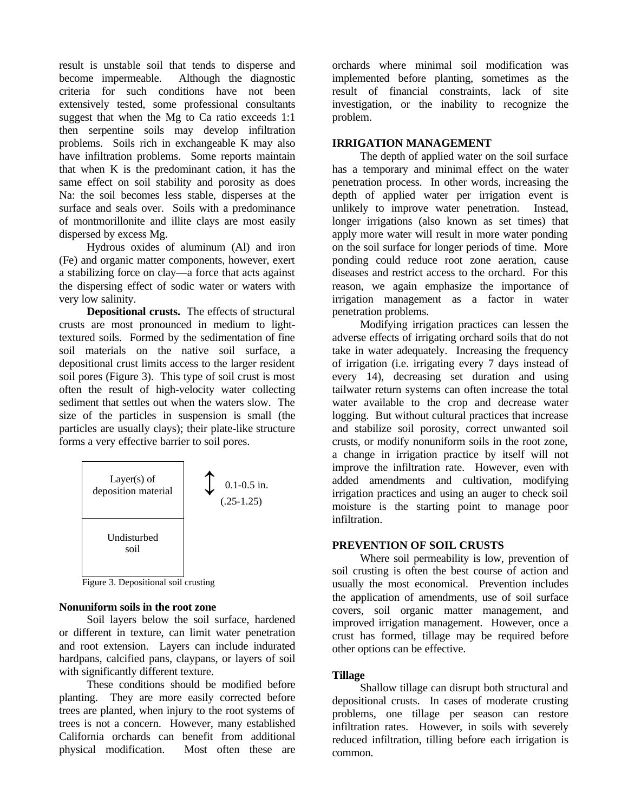result is unstable soil that tends to disperse and become impermeable. Although the diagnostic criteria for such conditions have not been extensively tested, some professional consultants suggest that when the Mg to Ca ratio exceeds 1:1 then serpentine soils may develop infiltration problems. Soils rich in exchangeable K may also have infiltration problems. Some reports maintain that when K is the predominant cation, it has the same effect on soil stability and porosity as does Na: the soil becomes less stable, disperses at the surface and seals over. Soils with a predominance of montmorillonite and illite clays are most easily dispersed by excess Mg.

Hydrous oxides of aluminum (Al) and iron (Fe) and organic matter components, however, exert a stabilizing force on clay—a force that acts against the dispersing effect of sodic water or waters with very low salinity.

**Depositional crusts.** The effects of structural crusts are most pronounced in medium to lighttextured soils. Formed by the sedimentation of fine soil materials on the native soil surface, a depositional crust limits access to the larger resident soil pores (Figure 3). This type of soil crust is most often the result of high-velocity water collecting sediment that settles out when the waters slow. The size of the particles in suspension is small (the particles are usually clays); their plate-like structure forms a very effective barrier to soil pores.



Figure 3. Depositional soil crusting

### **Nonuniform soils in the root zone**

Soil layers below the soil surface, hardened or different in texture, can limit water penetration and root extension. Layers can include indurated hardpans, calcified pans, claypans, or layers of soil with significantly different texture.

These conditions should be modified before planting. They are more easily corrected before trees are planted, when injury to the root systems of trees is not a concern. However, many established California orchards can benefit from additional physical modification. Most often these are

orchards where minimal soil modification was implemented before planting, sometimes as the result of financial constraints, lack of site investigation, or the inability to recognize the problem.

# **IRRIGATION MANAGEMENT**

The depth of applied water on the soil surface has a temporary and minimal effect on the water penetration process. In other words, increasing the depth of applied water per irrigation event is unlikely to improve water penetration. Instead, longer irrigations (also known as set times) that apply more water will result in more water ponding on the soil surface for longer periods of time. More ponding could reduce root zone aeration, cause diseases and restrict access to the orchard. For this reason, we again emphasize the importance of irrigation management as a factor in water penetration problems.

Modifying irrigation practices can lessen the adverse effects of irrigating orchard soils that do not take in water adequately. Increasing the frequency of irrigation (i.e. irrigating every 7 days instead of every 14), decreasing set duration and using tailwater return systems can often increase the total water available to the crop and decrease water logging. But without cultural practices that increase and stabilize soil porosity, correct unwanted soil crusts, or modify nonuniform soils in the root zone, a change in irrigation practice by itself will not improve the infiltration rate. However, even with added amendments and cultivation, modifying irrigation practices and using an auger to check soil moisture is the starting point to manage poor infiltration.

# **PREVENTION OF SOIL CRUSTS**

Where soil permeability is low, prevention of soil crusting is often the best course of action and usually the most economical. Prevention includes the application of amendments, use of soil surface covers, soil organic matter management, and improved irrigation management. However, once a crust has formed, tillage may be required before other options can be effective.

# **Tillage**

Shallow tillage can disrupt both structural and depositional crusts. In cases of moderate crusting problems, one tillage per season can restore infiltration rates. However, in soils with severely reduced infiltration, tilling before each irrigation is common.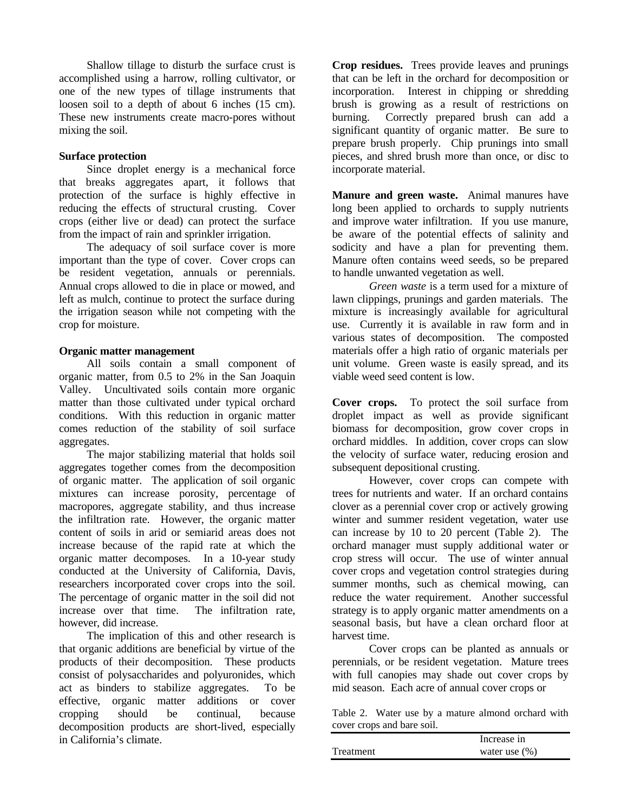Shallow tillage to disturb the surface crust is accomplished using a harrow, rolling cultivator, or one of the new types of tillage instruments that loosen soil to a depth of about 6 inches (15 cm). These new instruments create macro-pores without mixing the soil.

### **Surface protection**

Since droplet energy is a mechanical force that breaks aggregates apart, it follows that protection of the surface is highly effective in reducing the effects of structural crusting. Cover crops (either live or dead) can protect the surface from the impact of rain and sprinkler irrigation.

The adequacy of soil surface cover is more important than the type of cover. Cover crops can be resident vegetation, annuals or perennials. Annual crops allowed to die in place or mowed, and left as mulch, continue to protect the surface during the irrigation season while not competing with the crop for moisture.

### **Organic matter management**

All soils contain a small component of organic matter, from 0.5 to 2% in the San Joaquin Valley. Uncultivated soils contain more organic matter than those cultivated under typical orchard conditions. With this reduction in organic matter comes reduction of the stability of soil surface aggregates.

The major stabilizing material that holds soil aggregates together comes from the decomposition of organic matter. The application of soil organic mixtures can increase porosity, percentage of macropores, aggregate stability, and thus increase the infiltration rate. However, the organic matter content of soils in arid or semiarid areas does not increase because of the rapid rate at which the organic matter decomposes. In a 10-year study conducted at the University of California, Davis, researchers incorporated cover crops into the soil. The percentage of organic matter in the soil did not increase over that time. The infiltration rate, however, did increase.

The implication of this and other research is that organic additions are beneficial by virtue of the products of their decomposition. These products consist of polysaccharides and polyuronides, which act as binders to stabilize aggregates. To be effective, organic matter additions or cover cropping should be continual, because decomposition products are short-lived, especially in California's climate.

**Crop residues.** Trees provide leaves and prunings that can be left in the orchard for decomposition or incorporation. Interest in chipping or shredding brush is growing as a result of restrictions on burning. Correctly prepared brush can add a significant quantity of organic matter. Be sure to prepare brush properly. Chip prunings into small pieces, and shred brush more than once, or disc to incorporate material.

**Manure and green waste.** Animal manures have long been applied to orchards to supply nutrients and improve water infiltration. If you use manure, be aware of the potential effects of salinity and sodicity and have a plan for preventing them. Manure often contains weed seeds, so be prepared to handle unwanted vegetation as well.

*Green waste* is a term used for a mixture of lawn clippings, prunings and garden materials. The mixture is increasingly available for agricultural use. Currently it is available in raw form and in various states of decomposition. The composted materials offer a high ratio of organic materials per unit volume. Green waste is easily spread, and its viable weed seed content is low.

**Cover crops.** To protect the soil surface from droplet impact as well as provide significant biomass for decomposition, grow cover crops in orchard middles. In addition, cover crops can slow the velocity of surface water, reducing erosion and subsequent depositional crusting.

However, cover crops can compete with trees for nutrients and water. If an orchard contains clover as a perennial cover crop or actively growing winter and summer resident vegetation, water use can increase by 10 to 20 percent (Table 2). The orchard manager must supply additional water or crop stress will occur. The use of winter annual cover crops and vegetation control strategies during summer months, such as chemical mowing, can reduce the water requirement. Another successful strategy is to apply organic matter amendments on a seasonal basis, but have a clean orchard floor at harvest time.

Cover crops can be planted as annuals or perennials, or be resident vegetation. Mature trees with full canopies may shade out cover crops by mid season. Each acre of annual cover crops or

Table 2. Water use by a mature almond orchard with cover crops and bare soil.

|           | Increase in       |
|-----------|-------------------|
| Treatment | water use $(\% )$ |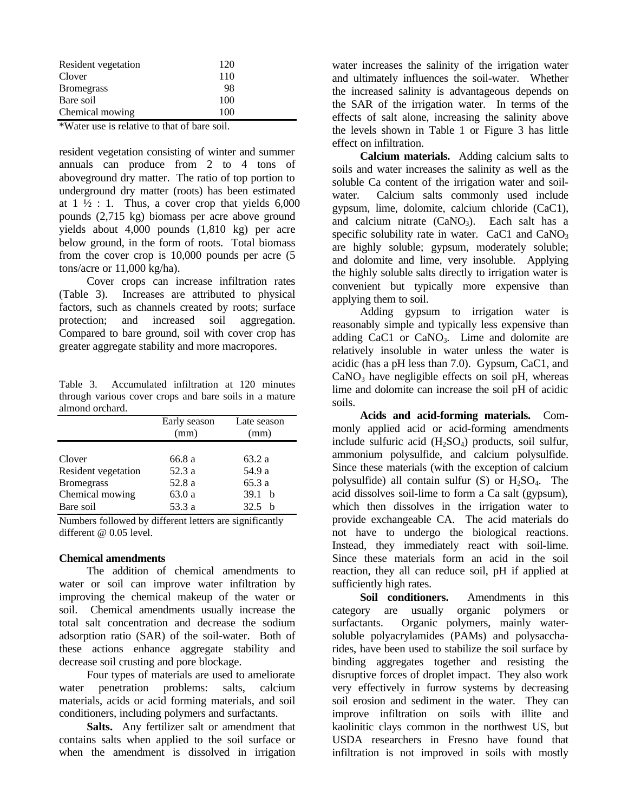| Resident vegetation | 120 |
|---------------------|-----|
| Clover              | 110 |
| <b>Bromegrass</b>   | 98  |
| Bare soil           | 100 |
| Chemical mowing     | 100 |

\*Water use is relative to that of bare soil.

resident vegetation consisting of winter and summer annuals can produce from 2 to 4 tons of aboveground dry matter. The ratio of top portion to underground dry matter (roots) has been estimated at  $1\frac{1}{2}$ : 1. Thus, a cover crop that yields 6,000 pounds (2,715 kg) biomass per acre above ground yields about 4,000 pounds (1,810 kg) per acre below ground, in the form of roots. Total biomass from the cover crop is 10,000 pounds per acre (5 tons/acre or 11,000 kg/ha).

Cover crops can increase infiltration rates (Table 3). Increases are attributed to physical factors, such as channels created by roots; surface protection; and increased soil aggregation. Compared to bare ground, soil with cover crop has greater aggregate stability and more macropores.

Table 3. Accumulated infiltration at 120 minutes through various cover crops and bare soils in a mature almond orchard.

|                     | Early season<br>(mm) | Late season<br>(mm) |
|---------------------|----------------------|---------------------|
| Clover              | 66.8 a               | 63.2 a              |
| Resident vegetation | 52.3 a               | 54.9 a              |
| <b>Bromegrass</b>   | 52.8 a               | 65.3 a              |
| Chemical mowing     | 63.0 a               | 39.1<br>- b         |
| Bare soil           | 53.3 a               | 32.5<br>$-h$        |

Numbers followed by different letters are significantly different @ 0.05 level.

### **Chemical amendments**

The addition of chemical amendments to water or soil can improve water infiltration by improving the chemical makeup of the water or soil. Chemical amendments usually increase the total salt concentration and decrease the sodium adsorption ratio (SAR) of the soil-water. Both of these actions enhance aggregate stability and decrease soil crusting and pore blockage.

Four types of materials are used to ameliorate water penetration problems: salts, calcium materials, acids or acid forming materials, and soil conditioners, including polymers and surfactants.

**Salts.** Any fertilizer salt or amendment that contains salts when applied to the soil surface or when the amendment is dissolved in irrigation

water increases the salinity of the irrigation water and ultimately influences the soil-water. Whether the increased salinity is advantageous depends on the SAR of the irrigation water. In terms of the effects of salt alone, increasing the salinity above the levels shown in Table 1 or Figure 3 has little effect on infiltration.

**Calcium materials.** Adding calcium salts to soils and water increases the salinity as well as the soluble Ca content of the irrigation water and soilwater. Calcium salts commonly used include gypsum, lime, dolomite, calcium chloride (CaC1), and calcium nitrate  $(CaNO<sub>3</sub>)$ . Each salt has a specific solubility rate in water.  $CaC1$  and  $CaNO<sub>3</sub>$ are highly soluble; gypsum, moderately soluble; and dolomite and lime, very insoluble. Applying the highly soluble salts directly to irrigation water is convenient but typically more expensive than applying them to soil.

Adding gypsum to irrigation water is reasonably simple and typically less expensive than adding  $CaC1$  or  $CaNO<sub>3</sub>$ . Lime and dolomite are relatively insoluble in water unless the water is acidic (has a pH less than 7.0). Gypsum, CaC1, and  $CaNO<sub>3</sub>$  have negligible effects on soil pH, whereas lime and dolomite can increase the soil pH of acidic soils.

**Acids and acid-forming materials.** Commonly applied acid or acid-forming amendments include sulfuric acid  $(H_2SO_4)$  products, soil sulfur, ammonium polysulfide, and calcium polysulfide. Since these materials (with the exception of calcium polysulfide) all contain sulfur  $(S)$  or  $H_2SO_4$ . The acid dissolves soil-lime to form a Ca salt (gypsum), which then dissolves in the irrigation water to provide exchangeable CA. The acid materials do not have to undergo the biological reactions. Instead, they immediately react with soil-lime. Since these materials form an acid in the soil reaction, they all can reduce soil, pH if applied at sufficiently high rates.

**Soil conditioners.** Amendments in this category are usually organic polymers or surfactants. Organic polymers, mainly watersoluble polyacrylamides (PAMs) and polysaccharides, have been used to stabilize the soil surface by binding aggregates together and resisting the disruptive forces of droplet impact. They also work very effectively in furrow systems by decreasing soil erosion and sediment in the water. They can improve infiltration on soils with illite and kaolinitic clays common in the northwest US, but USDA researchers in Fresno have found that infiltration is not improved in soils with mostly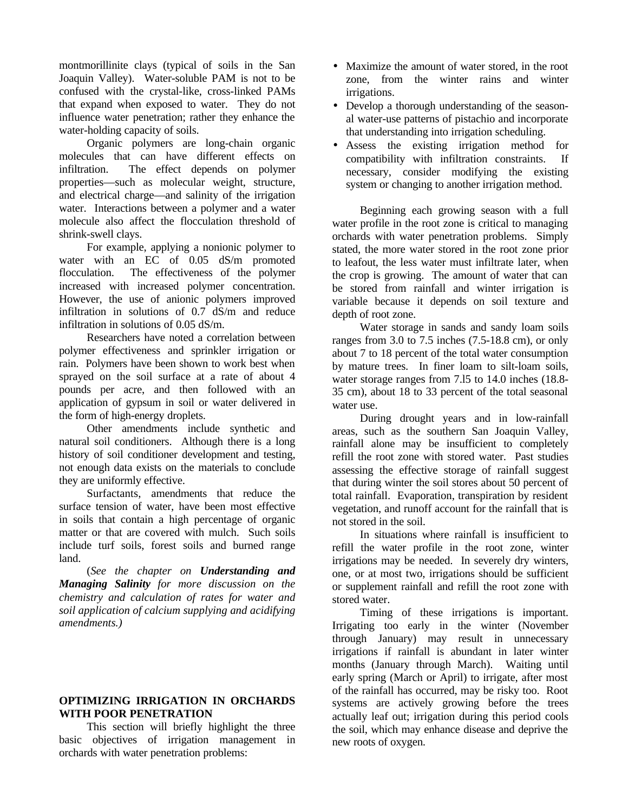montmorillinite clays (typical of soils in the San Joaquin Valley). Water-soluble PAM is not to be confused with the crystal-like, cross-linked PAMs that expand when exposed to water. They do not influence water penetration; rather they enhance the water-holding capacity of soils.

Organic polymers are long-chain organic molecules that can have different effects on infiltration. The effect depends on polymer properties—such as molecular weight, structure, and electrical charge—and salinity of the irrigation water. Interactions between a polymer and a water molecule also affect the flocculation threshold of shrink-swell clays.

For example, applying a nonionic polymer to water with an EC of 0.05 dS/m promoted flocculation. The effectiveness of the polymer increased with increased polymer concentration. However, the use of anionic polymers improved infiltration in solutions of 0.7 dS/m and reduce infiltration in solutions of 0.05 dS/m.

Researchers have noted a correlation between polymer effectiveness and sprinkler irrigation or rain. Polymers have been shown to work best when sprayed on the soil surface at a rate of about 4 pounds per acre, and then followed with an application of gypsum in soil or water delivered in the form of high-energy droplets.

Other amendments include synthetic and natural soil conditioners. Although there is a long history of soil conditioner development and testing, not enough data exists on the materials to conclude they are uniformly effective.

Surfactants, amendments that reduce the surface tension of water, have been most effective in soils that contain a high percentage of organic matter or that are covered with mulch. Such soils include turf soils, forest soils and burned range land.

(*See the chapter on Understanding and Managing Salinity for more discussion on the chemistry and calculation of rates for water and soil application of calcium supplying and acidifying amendments.)*

# **OPTIMIZING IRRIGATION IN ORCHARDS WITH POOR PENETRATION**

This section will briefly highlight the three basic objectives of irrigation management in orchards with water penetration problems:

- Maximize the amount of water stored, in the root zone, from the winter rains and winter irrigations.
- Develop a thorough understanding of the seasonal water-use patterns of pistachio and incorporate that understanding into irrigation scheduling.
- Assess the existing irrigation method for compatibility with infiltration constraints. If necessary, consider modifying the existing system or changing to another irrigation method.

Beginning each growing season with a full water profile in the root zone is critical to managing orchards with water penetration problems. Simply stated, the more water stored in the root zone prior to leafout, the less water must infiltrate later, when the crop is growing. The amount of water that can be stored from rainfall and winter irrigation is variable because it depends on soil texture and depth of root zone.

Water storage in sands and sandy loam soils ranges from 3.0 to 7.5 inches (7.5-18.8 cm), or only about 7 to 18 percent of the total water consumption by mature trees. In finer loam to silt-loam soils, water storage ranges from 7.l5 to 14.0 inches (18.8- 35 cm), about 18 to 33 percent of the total seasonal water use.

During drought years and in low-rainfall areas, such as the southern San Joaquin Valley, rainfall alone may be insufficient to completely refill the root zone with stored water. Past studies assessing the effective storage of rainfall suggest that during winter the soil stores about 50 percent of total rainfall. Evaporation, transpiration by resident vegetation, and runoff account for the rainfall that is not stored in the soil.

In situations where rainfall is insufficient to refill the water profile in the root zone, winter irrigations may be needed. In severely dry winters, one, or at most two, irrigations should be sufficient or supplement rainfall and refill the root zone with stored water.

Timing of these irrigations is important. Irrigating too early in the winter (November through January) may result in unnecessary irrigations if rainfall is abundant in later winter months (January through March). Waiting until early spring (March or April) to irrigate, after most of the rainfall has occurred, may be risky too. Root systems are actively growing before the trees actually leaf out; irrigation during this period cools the soil, which may enhance disease and deprive the new roots of oxygen.